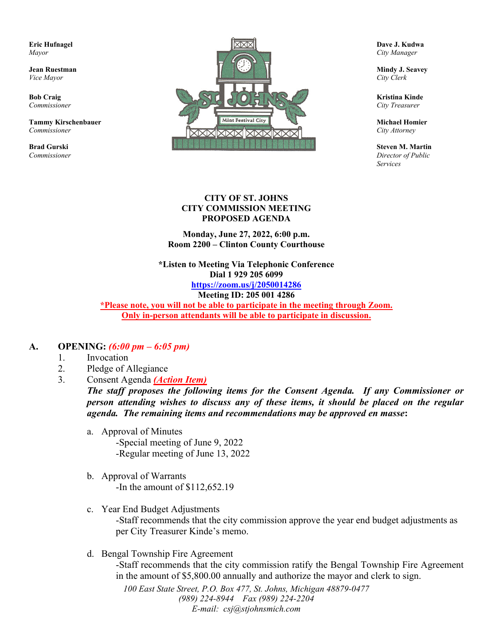

*Services*

#### **CITY OF ST. JOHNS CITY COMMISSION MEETING PROPOSED AGENDA**

**Monday, June 27, 2022, 6:00 p.m. Room 2200 – Clinton County Courthouse**

**\*Listen to Meeting Via Telephonic Conference Dial 1 929 205 6099 <https://zoom.us/j/2050014286> Meeting ID: 205 001 4286**

**\*Please note, you will not be able to participate in the meeting through Zoom. Only in-person attendants will be able to participate in discussion.**

#### **A. OPENING:** *(6:00 pm – 6:05 pm)*

- 1. Invocation
- 2. Pledge of Allegiance
- 3. Consent Agenda *(Action Item)*

*The staff proposes the following items for the Consent Agenda. If any Commissioner or person attending wishes to discuss any of these items, it should be placed on the regular agenda. The remaining items and recommendations may be approved en masse***:**

- a. Approval of Minutes -Special meeting of June 9, 2022 -Regular meeting of June 13, 2022
- b. Approval of Warrants -In the amount of \$112,652.19
- c. Year End Budget Adjustments -Staff recommends that the city commission approve the year end budget adjustments as per City Treasurer Kinde's memo.
- d. Bengal Township Fire Agreement -Staff recommends that the city commission ratify the Bengal Township Fire Agreement in the amount of \$5,800.00 annually and authorize the mayor and clerk to sign.

*100 East State Street, P.O. Box 477, St. Johns, Michigan 48879-0477 (989) 224-8944 Fax (989) 224-2204 E-mail: csj@stjohnsmich.com*